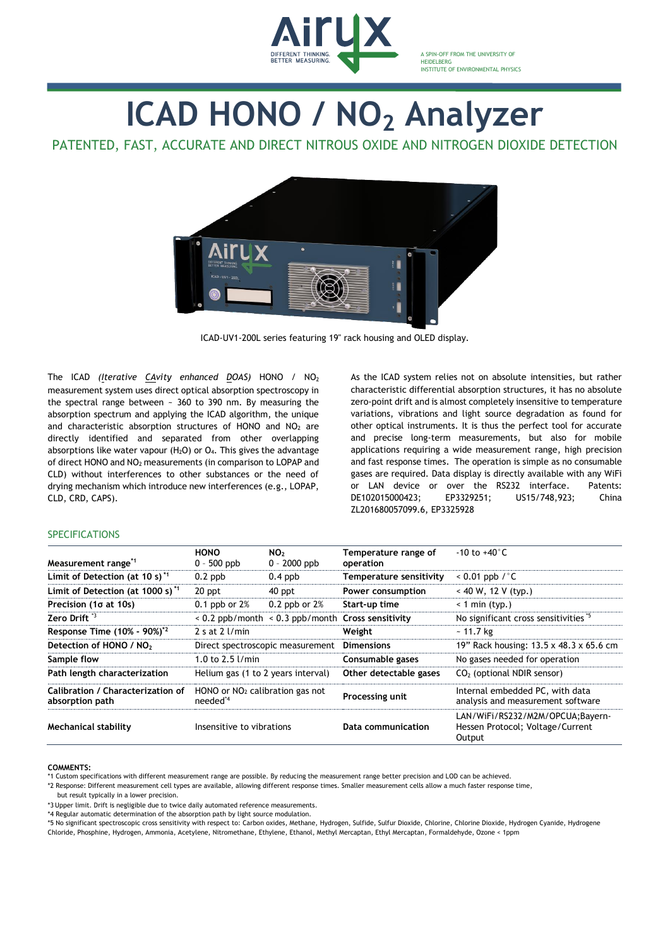

A SPIN-OFF FROM THE UNIVERSITY OF **HEIDELBERG** INSTITUTE OF ENVIRONMENTAL PHYSICS

# **ICAD HONO / NO<sup>2</sup> Analyzer**

# PATENTED, FAST, ACCURATE AND DIRECT NITROUS OXIDE AND NITROGEN DIOXIDE DETECTION



ICAD-UV1-200L series featuring 19" rack housing and OLED display.

The ICAD *(Iterative CAvity enhanced DOAS)* HONO / NO<sup>2</sup> measurement system uses direct optical absorption spectroscopy in the spectral range between  $\sim$  360 to 390 nm. By measuring the absorption spectrum and applying the ICAD algorithm, the unique and characteristic absorption structures of HONO and  $NO<sub>2</sub>$  are directly identified and separated from other overlapping absorptions like water vapour  $(H<sub>2</sub>O)$  or  $O<sub>4</sub>$ . This gives the advantage of direct HONO and NO<sup>2</sup> measurements (in comparison to LOPAP and CLD) without interferences to other substances or the need of drying mechanism which introduce new interferences (e.g., LOPAP, CLD, CRD, CAPS).

As the ICAD system relies not on absolute intensities, but rather characteristic differential absorption structures, it has no absolute zero-point drift and is almost completely insensitive to temperature variations, vibrations and light source degradation as found for other optical instruments. It is thus the perfect tool for accurate and precise long-term measurements, but also for mobile applications requiring a wide measurement range, high precision and fast response times. The operation is simple as no consumable gases are required. Data display is directly available with any WiFi or LAN device or over the RS232 interface. Patents: DE102015000423; EP3329251; US15/748,923; China ZL201680057099.6, EP3325928

## **SPECIFICATIONS**

| Measurement range <sup>*1</sup>                      | <b>HONO</b><br>$0 - 500$ ppb                              | NO <sub>2</sub><br>$0 - 2000$ ppb | Temperature range of<br>operation                     | $-10$ to $+40^{\circ}$ C                                                       |
|------------------------------------------------------|-----------------------------------------------------------|-----------------------------------|-------------------------------------------------------|--------------------------------------------------------------------------------|
| Limit of Detection (at 10 s) $1$                     | $0.2$ ppb                                                 | $0.4$ ppb                         | Temperature sensitivity                               | $< 0.01$ ppb / $°$ C                                                           |
| Limit of Detection (at 1000 s) <sup>*1</sup>         | 20 ppt                                                    | 40 ppt                            | Power consumption                                     | $<$ 40 W, 12 V (typ.)                                                          |
| Precision (1o at 10s)                                | $0.1$ ppb or $2%$                                         | $0.2$ ppb or $2%$                 | Start-up time                                         | $< 1$ min (typ.)                                                               |
| Zero Drift <sup>3</sup>                              |                                                           |                                   | $< 0.2$ ppb/month $< 0.3$ ppb/month Cross sensitivity | No significant cross sensitivities *5                                          |
| Response Time (10% - 90%) <sup>*2</sup>              | 2 s at $2$ l/min                                          |                                   | Weight                                                | $~11.7~\text{kg}$                                                              |
| Detection of HONO / NO <sub>2</sub>                  | Direct spectroscopic measurement                          |                                   | <b>Dimensions</b>                                     | 19" Rack housing: 13.5 x 48.3 x 65.6 cm                                        |
| Sample flow                                          | 1.0 to 2.5 $1/min$                                        |                                   | Consumable gases                                      | No gases needed for operation                                                  |
| Path length characterization                         | Helium gas (1 to 2 years interval)                        |                                   | Other detectable gases                                | $CO2$ (optional NDIR sensor)                                                   |
| Calibration / Characterization of<br>absorption path | HONO or $NO2$ calibration gas not<br>needed <sup>*4</sup> |                                   | Processing unit                                       | Internal embedded PC, with data<br>analysis and measurement software           |
| Mechanical stability                                 | Insensitive to vibrations                                 |                                   | Data communication                                    | LAN/WiFi/RS232/M2M/OPCUA;Bayern-<br>Hessen Protocol; Voltage/Current<br>Output |

#### **COMMENTS:**

\*2 Response: Different measurement cell types are available, allowing different response times. Smaller measurement cells allow a much faster response time,

but result typically in a lower precision.

\*3 Upper limit. Drift is negligible due to twice daily automated reference measurements.

\*4 Regular automatic determination of the absorption path by light source modulation.

\*5 No significant spectroscopic cross sensitivity with respect to: Carbon oxides, Methane, Hydrogen, Sulfide, Sulfur Dioxide, Chlorine, Chlorine Dioxide, Hydrogen Cyanide, Hydrogene Chloride, Phosphine, Hydrogen, Ammonia, Acetylene, Nitromethane, Ethylene, Ethanol, Methyl Mercaptan, Ethyl Mercaptan, Formaldehyde, Ozone < 1ppm

<sup>1</sup> Custom specifications with different measurement range are possible. By reducing the measurement range better precision and LOD can be achieved.